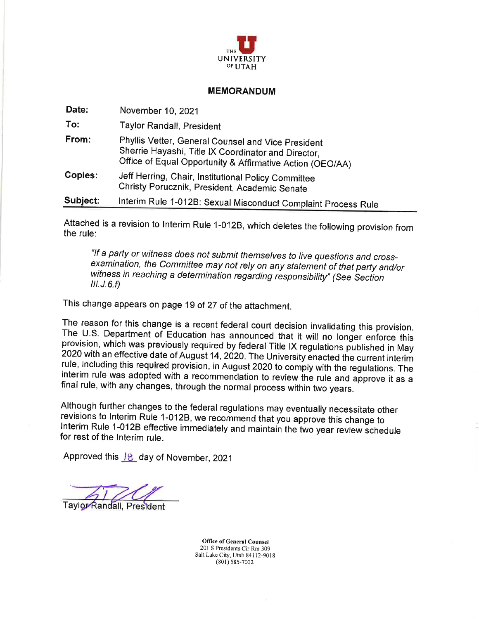

#### **MEMORANDUM**

| Date:    | November 10, 2021                                                                                                                                                      |
|----------|------------------------------------------------------------------------------------------------------------------------------------------------------------------------|
| To:      | <b>Taylor Randall, President</b>                                                                                                                                       |
| From:    | Phyllis Vetter, General Counsel and Vice President<br>Sherrie Hayashi, Title IX Coordinator and Director,<br>Office of Equal Opportunity & Affirmative Action (OEO/AA) |
| Copies:  | Jeff Herring, Chair, Institutional Policy Committee<br>Christy Porucznik, President, Academic Senate                                                                   |
| Subject: | Interim Rule 1-012B: Sexual Misconduct Complaint Process Rule                                                                                                          |

Attached is a revision to Interim Rule 1-012B, which deletes the following provision from the rule:

"If a party or witness does not submit themselves to live questions and crossexamination, the Committee may not rely on any statement of that party and/or witness in reaching a determination regarding responsibility" (See Section  $III. J. 6.f)$ 

This change appears on page 19 of 27 of the attachment.

The reason for this change is a recent federal court decision invalidating this provision. The U.S. Department of Education has announced that it will no longer enforce this provision, which was previously required by federal Title IX regulations published in May 2020 with an effective date of August 14, 2020. The University enacted the current interim rule, including this required provision, in August 2020 to comply with the regulations. The interim rule was adopted with a recommendation to review the rule and approve it as a final rule, with any changes, through the normal process within two years.

Although further changes to the federal regulations may eventually necessitate other revisions to Interim Rule 1-012B, we recommend that you approve this change to Interim Rule 1-012B effective immediately and maintain the two year review schedule for rest of the Interim rule.

Approved this 18 day of November, 2021

Taylor Randall, President

**Office of General Counsel** 201 S Presidents Cir Rm 309 Salt Lake City, Utah 84112-9018  $(801)$  585-7002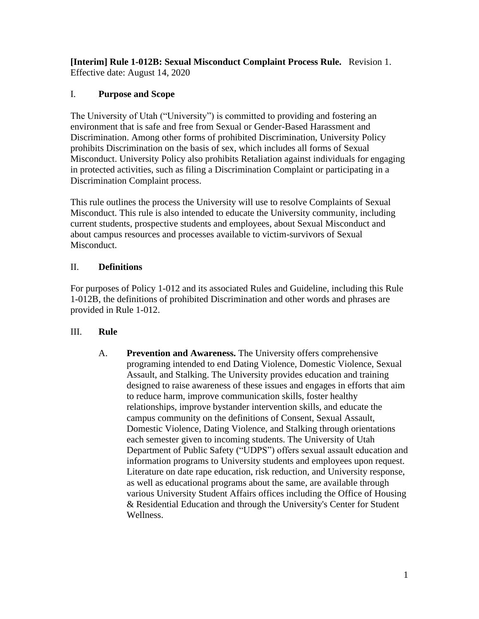**[Interim] Rule 1-012B: Sexual Misconduct Complaint Process Rule.** Revision 1. Effective date: August 14, 2020

# I. **Purpose and Scope**

The University of Utah ("University") is committed to providing and fostering an environment that is safe and free from Sexual or Gender-Based Harassment and Discrimination. Among other forms of prohibited Discrimination, University Policy prohibits Discrimination on the basis of sex, which includes all forms of Sexual Misconduct. University Policy also prohibits Retaliation against individuals for engaging in protected activities, such as filing a Discrimination Complaint or participating in a Discrimination Complaint process.

This rule outlines the process the University will use to resolve Complaints of Sexual Misconduct. This rule is also intended to educate the University community, including current students, prospective students and employees, about Sexual Misconduct and about campus resources and processes available to victim-survivors of Sexual Misconduct.

# II. **Definitions**

For purposes of Policy 1-012 and its associated Rules and Guideline, including this Rule 1-012B, the definitions of prohibited Discrimination and other words and phrases are provided in Rule 1-012.

# III. **Rule**

A. **Prevention and Awareness.** The University offers comprehensive programing intended to end Dating Violence, Domestic Violence, Sexual Assault, and Stalking. The University provides education and training designed to raise awareness of these issues and engages in efforts that aim to reduce harm, improve communication skills, foster healthy relationships, improve bystander intervention skills, and educate the campus community on the definitions of Consent, Sexual Assault, Domestic Violence, Dating Violence, and Stalking through orientations each semester given to incoming students. The University of Utah Department of Public Safety ("UDPS") offers sexual assault education and information programs to University students and employees upon request. Literature on date rape education, risk reduction, and University response, as well as educational programs about the same, are available through various University Student Affairs offices including the Office of Housing & Residential Education and through the University's Center for Student Wellness.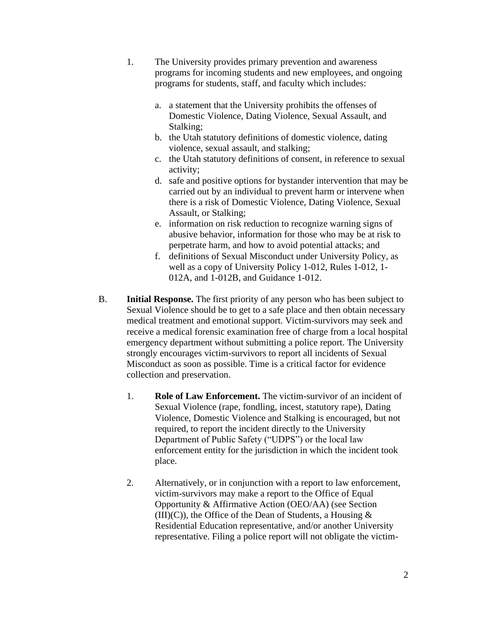- 1. The University provides primary prevention and awareness programs for incoming students and new employees, and ongoing programs for students, staff, and faculty which includes:
	- a. a statement that the University prohibits the offenses of Domestic Violence, Dating Violence, Sexual Assault, and Stalking;
	- b. the Utah statutory definitions of domestic violence, dating violence, sexual assault, and stalking;
	- c. the Utah statutory definitions of consent, in reference to sexual activity;
	- d. safe and positive options for bystander intervention that may be carried out by an individual to prevent harm or intervene when there is a risk of Domestic Violence, Dating Violence, Sexual Assault, or Stalking;
	- e. information on risk reduction to recognize warning signs of abusive behavior, information for those who may be at risk to perpetrate harm, and how to avoid potential attacks; and
	- f. definitions of Sexual Misconduct under University Policy, as well as a copy of University Policy 1-012, Rules 1-012, 1- 012A, and 1-012B, and Guidance 1-012.
- B. **Initial Response.** The first priority of any person who has been subject to Sexual Violence should be to get to a safe place and then obtain necessary medical treatment and emotional support. Victim-survivors may seek and receive a medical forensic examination free of charge from a local hospital emergency department without submitting a police report. The University strongly encourages victim-survivors to report all incidents of Sexual Misconduct as soon as possible. Time is a critical factor for evidence collection and preservation.
	- 1. **Role of Law Enforcement.** The victim-survivor of an incident of Sexual Violence (rape, fondling, incest, statutory rape), Dating Violence, Domestic Violence and Stalking is encouraged, but not required, to report the incident directly to the University Department of Public Safety ("UDPS") or the local law enforcement entity for the jurisdiction in which the incident took place.
	- 2. Alternatively, or in conjunction with a report to law enforcement, victim-survivors may make a report to the Office of Equal Opportunity & Affirmative Action (OEO/AA) (see Section  $(III)(C)$ , the Office of the Dean of Students, a Housing  $\&$ Residential Education representative, and/or another University representative. Filing a police report will not obligate the victim-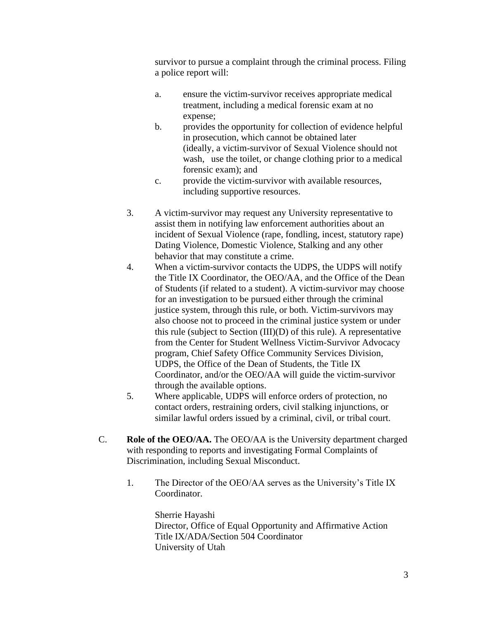survivor to pursue a complaint through the criminal process. Filing a police report will:

- a. ensure the victim-survivor receives appropriate medical treatment, including a medical forensic exam at no expense;
- b. provides the opportunity for collection of evidence helpful in prosecution, which cannot be obtained later (ideally, a victim-survivor of Sexual Violence should not wash, use the toilet, or change clothing prior to a medical forensic exam); and
- c. provide the victim-survivor with available resources, including supportive resources.
- 3. A victim-survivor may request any University representative to assist them in notifying law enforcement authorities about an incident of Sexual Violence (rape, fondling, incest, statutory rape) Dating Violence, Domestic Violence, Stalking and any other behavior that may constitute a crime.
- 4. When a victim-survivor contacts the UDPS, the UDPS will notify the Title IX Coordinator, the OEO/AA, and the Office of the Dean of Students (if related to a student). A victim-survivor may choose for an investigation to be pursued either through the criminal justice system, through this rule, or both. Victim-survivors may also choose not to proceed in the criminal justice system or under this rule (subject to Section (III)(D) of this rule). A representative from the Center for Student Wellness Victim-Survivor Advocacy program, Chief Safety Office Community Services Division, UDPS, the Office of the Dean of Students, the Title IX Coordinator, and/or the OEO/AA will guide the victim-survivor through the available options.
- 5. Where applicable, UDPS will enforce orders of protection, no contact orders, restraining orders, civil stalking injunctions, or similar lawful orders issued by a criminal, civil, or tribal court.
- C. **Role of the OEO/AA.** The OEO/AA is the University department charged with responding to reports and investigating Formal Complaints of Discrimination, including Sexual Misconduct.
	- 1. The Director of the OEO/AA serves as the University's Title IX Coordinator.

Sherrie Hayashi Director, Office of Equal Opportunity and Affirmative Action Title IX/ADA/Section 504 Coordinator University of Utah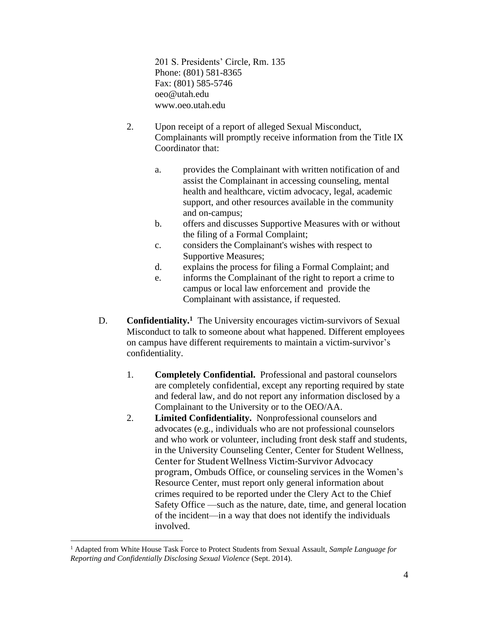201 S. Presidents' Circle, Rm. 135 Phone: (801) 581-8365 Fax: (801) 585-5746 oeo@utah.edu www.oeo.utah.edu

- 2. Upon receipt of a report of alleged Sexual Misconduct, Complainants will promptly receive information from the Title IX Coordinator that:
	- a. provides the Complainant with written notification of and assist the Complainant in accessing counseling, mental health and healthcare, victim advocacy, legal, academic support, and other resources available in the community and on-campus;
	- b. offers and discusses Supportive Measures with or without the filing of a Formal Complaint;
	- c. considers the Complainant's wishes with respect to Supportive Measures;
	- d. explains the process for filing a Formal Complaint; and
	- e. informs the Complainant of the right to report a crime to campus or local law enforcement and provide the Complainant with assistance, if requested.
- D. **Confidentiality.<sup>1</sup>** The University encourages victim-survivors of Sexual Misconduct to talk to someone about what happened. Different employees on campus have different requirements to maintain a victim-survivor's confidentiality.
	- 1. **Completely Confidential.** Professional and pastoral counselors are completely confidential, except any reporting required by state and federal law, and do not report any information disclosed by a Complainant to the University or to the OEO/AA.
	- 2. **Limited Confidentiality.** Nonprofessional counselors and advocates (e.g., individuals who are not professional counselors and who work or volunteer, including front desk staff and students, in the University Counseling Center, Center for Student Wellness, Center for Student Wellness Victim-Survivor Advocacy program, Ombuds Office, or counseling services in the Women's Resource Center, must report only general information about crimes required to be reported under the Clery Act to the Chief Safety Office —such as the nature, date, time, and general location of the incident—in a way that does not identify the individuals involved.

<sup>1</sup> Adapted from White House Task Force to Protect Students from Sexual Assault, *Sample Language for Reporting and Confidentially Disclosing Sexual Violence* (Sept. 2014).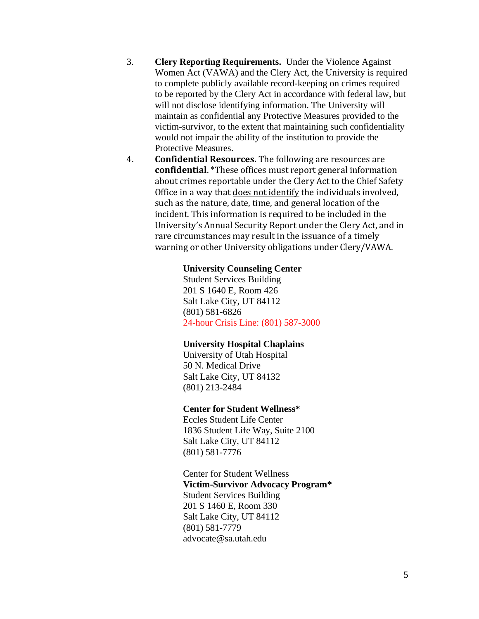- 3. **Clery Reporting Requirements.** Under the Violence Against Women Act (VAWA) and the Clery Act, the University is required to complete publicly available record-keeping on crimes required to be reported by the Clery Act in accordance with federal law, but will not disclose identifying information. The University will maintain as confidential any Protective Measures provided to the victim-survivor, to the extent that maintaining such confidentiality would not impair the ability of the institution to provide the Protective Measures.
- 4. **Confidential Resources.** The following are resources are **confidential**. \*These offices must report general information about crimes reportable under the Clery Act to the Chief Safety Office in a way that does not identify the individuals involved, such as the nature, date, time, and general location of the incident. This information is required to be included in the University's Annual Security Report under the Clery Act, and in rare circumstances may result in the issuance of a timely warning or other University obligations under Clery/VAWA.

#### **University Counseling Center**

Student Services Building 201 S 1640 E, Room 426 Salt Lake City, UT 84112 (801) 581-6826 24-hour Crisis Line: (801) 587-3000

#### **University Hospital Chaplains**

University of Utah Hospital 50 N. Medical Drive Salt Lake City, UT 84132 (801) 213-2484

#### **Center for Student Wellness\***

Eccles Student Life Center 1836 Student Life Way, Suite 2100 Salt Lake City, UT 84112 (801) 581-7776

Center for Student Wellness **Victim-Survivor Advocacy Program\*** Student Services Building 201 S 1460 E, Room 330 Salt Lake City, UT 84112 (801) 581-7779 advocate@sa.utah.edu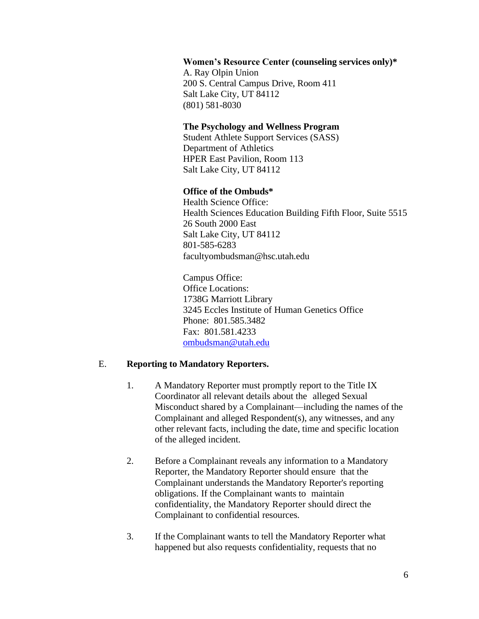#### **Women's Resource Center (counseling services only)\***

A. Ray Olpin Union 200 S. Central Campus Drive, Room 411 Salt Lake City, UT 84112 (801) 581-8030

#### **The Psychology and Wellness Program**

Student Athlete Support Services (SASS) Department of Athletics HPER East Pavilion, Room 113 Salt Lake City, UT 84112

#### **Office of the Ombuds\***

Health Science Office: Health Sciences Education Building Fifth Floor, Suite 5515 26 South 2000 East Salt Lake City, UT 84112 801-585-6283 facultyombudsman@hsc.utah.edu

Campus Office: Office Locations: 1738G Marriott Library 3245 Eccles Institute of Human Genetics Office Phone: 801.585.3482 Fax: 801.581.4233 [ombudsman@utah.edu](mailto:ombudsman@utah.edu)

### E. **Reporting to Mandatory Reporters.**

- 1. A Mandatory Reporter must promptly report to the Title IX Coordinator all relevant details about the alleged Sexual Misconduct shared by a Complainant—including the names of the Complainant and alleged Respondent(s), any witnesses, and any other relevant facts, including the date, time and specific location of the alleged incident.
- 2. Before a Complainant reveals any information to a Mandatory Reporter, the Mandatory Reporter should ensure that the Complainant understands the Mandatory Reporter's reporting obligations. If the Complainant wants to maintain confidentiality, the Mandatory Reporter should direct the Complainant to confidential resources.
- 3. If the Complainant wants to tell the Mandatory Reporter what happened but also requests confidentiality, requests that no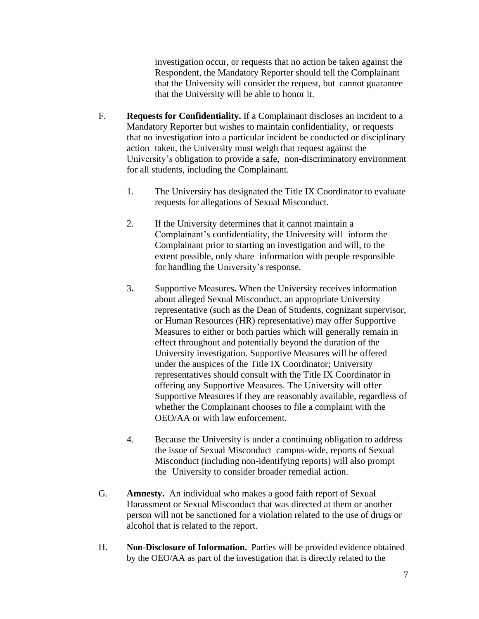investigation occur, or requests that no action be taken against the Respondent, the Mandatory Reporter should tell the Complainant that the University will consider the request, but cannot guarantee that the University will be able to honor it.

- F. **Requests for Confidentiality.** If a Complainant discloses an incident to a Mandatory Reporter but wishes to maintain confidentiality, or requests that no investigation into a particular incident be conducted or disciplinary action taken, the University must weigh that request against the University's obligation to provide a safe, non-discriminatory environment for all students, including the Complainant.
	- 1. The University has designated the Title IX Coordinator to evaluate requests for allegations of Sexual Misconduct.
	- 2. If the University determines that it cannot maintain a Complainant's confidentiality, the University will inform the Complainant prior to starting an investigation and will, to the extent possible, only share information with people responsible for handling the University's response.
	- 3**.** Supportive Measures**.** When the University receives information about alleged Sexual Misconduct, an appropriate University representative (such as the Dean of Students, cognizant supervisor, or Human Resources (HR) representative) may offer Supportive Measures to either or both parties which will generally remain in effect throughout and potentially beyond the duration of the University investigation. Supportive Measures will be offered under the auspices of the Title IX Coordinator; University representatives should consult with the Title IX Coordinator in offering any Supportive Measures. The University will offer Supportive Measures if they are reasonably available, regardless of whether the Complainant chooses to file a complaint with the OEO/AA or with law enforcement.
	- 4. Because the University is under a continuing obligation to address the issue of Sexual Misconduct campus-wide, reports of Sexual Misconduct (including non-identifying reports) will also prompt the University to consider broader remedial action.
- G. **Amnesty.** An individual who makes a good faith report of Sexual Harassment or Sexual Misconduct that was directed at them or another person will not be sanctioned for a violation related to the use of drugs or alcohol that is related to the report.
- H. **Non-Disclosure of Information.** Parties will be provided evidence obtained by the OEO/AA as part of the investigation that is directly related to the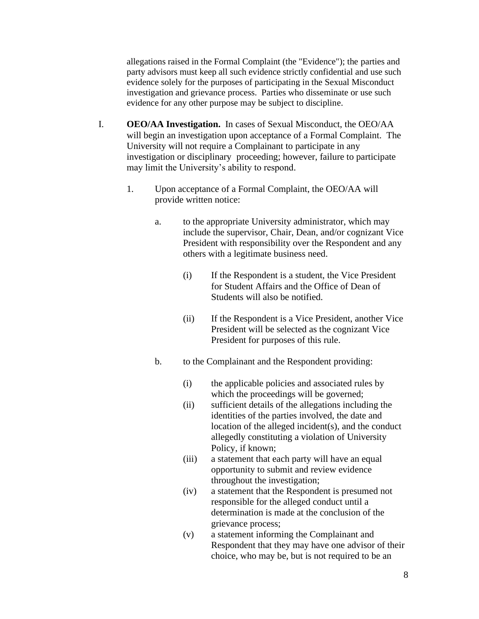allegations raised in the Formal Complaint (the "Evidence"); the parties and party advisors must keep all such evidence strictly confidential and use such evidence solely for the purposes of participating in the Sexual Misconduct investigation and grievance process. Parties who disseminate or use such evidence for any other purpose may be subject to discipline.

- I. **OEO/AA Investigation.** In cases of Sexual Misconduct, the OEO/AA will begin an investigation upon acceptance of a Formal Complaint. The University will not require a Complainant to participate in any investigation or disciplinary proceeding; however, failure to participate may limit the University's ability to respond.
	- 1. Upon acceptance of a Formal Complaint, the OEO/AA will provide written notice:
		- a. to the appropriate University administrator, which may include the supervisor, Chair, Dean, and/or cognizant Vice President with responsibility over the Respondent and any others with a legitimate business need.
			- (i) If the Respondent is a student, the Vice President for Student Affairs and the Office of Dean of Students will also be notified.
			- (ii) If the Respondent is a Vice President, another Vice President will be selected as the cognizant Vice President for purposes of this rule.
		- b. to the Complainant and the Respondent providing:
			- (i) the applicable policies and associated rules by which the proceedings will be governed;
			- (ii) sufficient details of the allegations including the identities of the parties involved, the date and location of the alleged incident(s), and the conduct allegedly constituting a violation of University Policy, if known;
			- (iii) a statement that each party will have an equal opportunity to submit and review evidence throughout the investigation;
			- (iv) a statement that the Respondent is presumed not responsible for the alleged conduct until a determination is made at the conclusion of the grievance process;
			- (v) a statement informing the Complainant and Respondent that they may have one advisor of their choice, who may be, but is not required to be an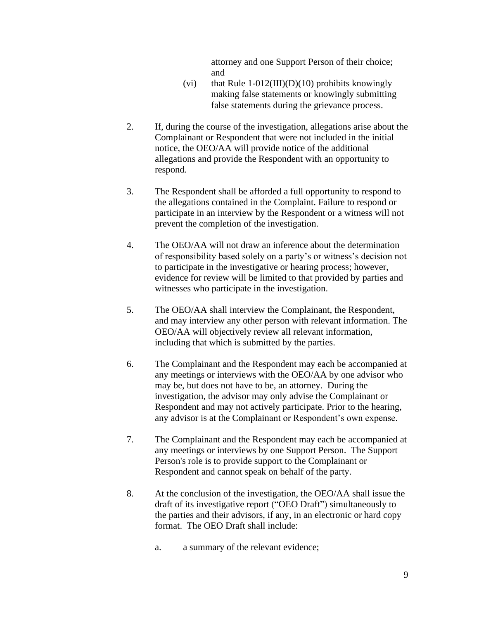attorney and one Support Person of their choice; and

- (vi) that Rule  $1-012(III)(D)(10)$  prohibits knowingly making false statements or knowingly submitting false statements during the grievance process.
- 2. If, during the course of the investigation, allegations arise about the Complainant or Respondent that were not included in the initial notice, the OEO/AA will provide notice of the additional allegations and provide the Respondent with an opportunity to respond.
- 3. The Respondent shall be afforded a full opportunity to respond to the allegations contained in the Complaint. Failure to respond or participate in an interview by the Respondent or a witness will not prevent the completion of the investigation.
- 4. The OEO/AA will not draw an inference about the determination of responsibility based solely on a party's or witness's decision not to participate in the investigative or hearing process; however, evidence for review will be limited to that provided by parties and witnesses who participate in the investigation.
- 5. The OEO/AA shall interview the Complainant, the Respondent, and may interview any other person with relevant information. The OEO/AA will objectively review all relevant information, including that which is submitted by the parties.
- 6. The Complainant and the Respondent may each be accompanied at any meetings or interviews with the OEO/AA by one advisor who may be, but does not have to be, an attorney. During the investigation, the advisor may only advise the Complainant or Respondent and may not actively participate. Prior to the hearing, any advisor is at the Complainant or Respondent's own expense.
- 7. The Complainant and the Respondent may each be accompanied at any meetings or interviews by one Support Person. The Support Person's role is to provide support to the Complainant or Respondent and cannot speak on behalf of the party.
- 8. At the conclusion of the investigation, the OEO/AA shall issue the draft of its investigative report ("OEO Draft") simultaneously to the parties and their advisors, if any, in an electronic or hard copy format. The OEO Draft shall include:
	- a. a summary of the relevant evidence;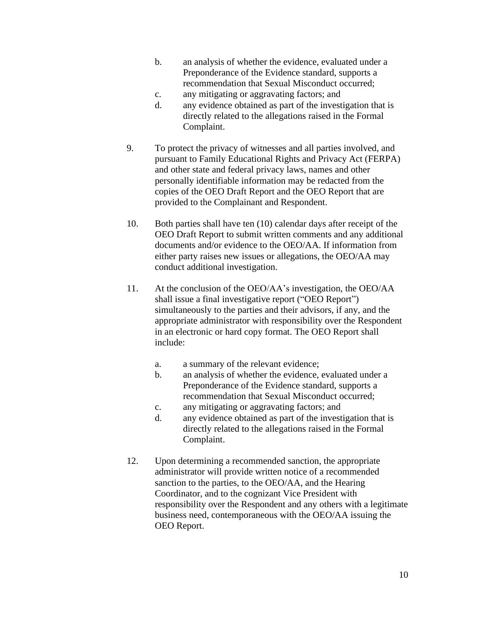- b. an analysis of whether the evidence, evaluated under a Preponderance of the Evidence standard, supports a recommendation that Sexual Misconduct occurred;
- c. any mitigating or aggravating factors; and
- d. any evidence obtained as part of the investigation that is directly related to the allegations raised in the Formal Complaint.
- 9. To protect the privacy of witnesses and all parties involved, and pursuant to Family Educational Rights and Privacy Act (FERPA) and other state and federal privacy laws, names and other personally identifiable information may be redacted from the copies of the OEO Draft Report and the OEO Report that are provided to the Complainant and Respondent.
- 10. Both parties shall have ten (10) calendar days after receipt of the OEO Draft Report to submit written comments and any additional documents and/or evidence to the OEO/AA. If information from either party raises new issues or allegations, the OEO/AA may conduct additional investigation.
- 11. At the conclusion of the OEO/AA's investigation, the OEO/AA shall issue a final investigative report ("OEO Report") simultaneously to the parties and their advisors, if any, and the appropriate administrator with responsibility over the Respondent in an electronic or hard copy format. The OEO Report shall include:
	- a. a summary of the relevant evidence;
	- b. an analysis of whether the evidence, evaluated under a Preponderance of the Evidence standard, supports a recommendation that Sexual Misconduct occurred;
	- c. any mitigating or aggravating factors; and
	- d. any evidence obtained as part of the investigation that is directly related to the allegations raised in the Formal Complaint.
- 12. Upon determining a recommended sanction, the appropriate administrator will provide written notice of a recommended sanction to the parties, to the OEO/AA, and the Hearing Coordinator, and to the cognizant Vice President with responsibility over the Respondent and any others with a legitimate business need, contemporaneous with the OEO/AA issuing the OEO Report.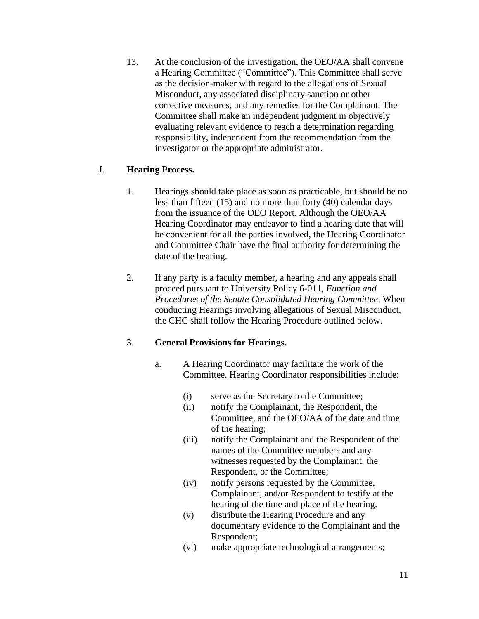13. At the conclusion of the investigation, the OEO/AA shall convene a Hearing Committee ("Committee"). This Committee shall serve as the decision-maker with regard to the allegations of Sexual Misconduct, any associated disciplinary sanction or other corrective measures, and any remedies for the Complainant. The Committee shall make an independent judgment in objectively evaluating relevant evidence to reach a determination regarding responsibility, independent from the recommendation from the investigator or the appropriate administrator.

## J. **Hearing Process.**

- 1. Hearings should take place as soon as practicable, but should be no less than fifteen (15) and no more than forty (40) calendar days from the issuance of the OEO Report. Although the OEO/AA Hearing Coordinator may endeavor to find a hearing date that will be convenient for all the parties involved, the Hearing Coordinator and Committee Chair have the final authority for determining the date of the hearing.
- 2. If any party is a faculty member, a hearing and any appeals shall proceed pursuant to University Policy 6-011, *Function and Procedures of the Senate Consolidated Hearing Committee*. When conducting Hearings involving allegations of Sexual Misconduct, the CHC shall follow the Hearing Procedure outlined below.

## 3. **General Provisions for Hearings.**

- a. A Hearing Coordinator may facilitate the work of the Committee. Hearing Coordinator responsibilities include:
	- (i) serve as the Secretary to the Committee;
	- (ii) notify the Complainant, the Respondent, the Committee, and the OEO/AA of the date and time of the hearing;
	- (iii) notify the Complainant and the Respondent of the names of the Committee members and any witnesses requested by the Complainant, the Respondent, or the Committee;
	- (iv) notify persons requested by the Committee, Complainant, and/or Respondent to testify at the hearing of the time and place of the hearing.
	- (v) distribute the Hearing Procedure and any documentary evidence to the Complainant and the Respondent;
	- (vi) make appropriate technological arrangements;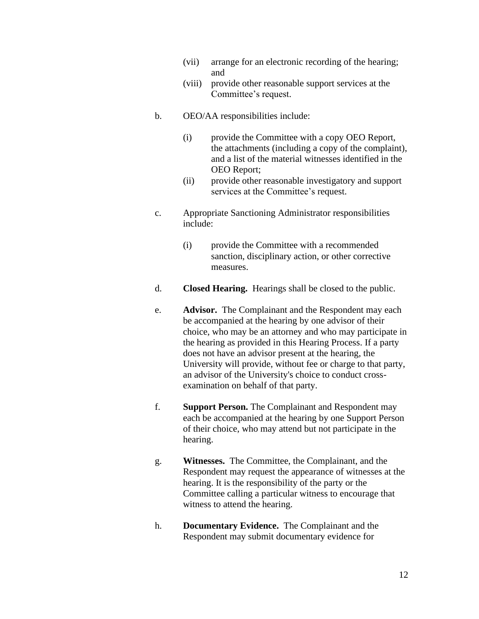- (vii) arrange for an electronic recording of the hearing; and
- (viii) provide other reasonable support services at the Committee's request.
- b. OEO/AA responsibilities include:
	- (i) provide the Committee with a copy OEO Report, the attachments (including a copy of the complaint), and a list of the material witnesses identified in the OEO Report;
	- (ii) provide other reasonable investigatory and support services at the Committee's request.
- c. Appropriate Sanctioning Administrator responsibilities include:
	- (i) provide the Committee with a recommended sanction, disciplinary action, or other corrective measures.
- d. **Closed Hearing.**Hearings shall be closed to the public.
- e. **Advisor.** The Complainant and the Respondent may each be accompanied at the hearing by one advisor of their choice, who may be an attorney and who may participate in the hearing as provided in this Hearing Process. If a party does not have an advisor present at the hearing, the University will provide, without fee or charge to that party, an advisor of the University's choice to conduct crossexamination on behalf of that party.
- f. **Support Person.** The Complainant and Respondent may each be accompanied at the hearing by one Support Person of their choice, who may attend but not participate in the hearing.
- g. **Witnesses.** The Committee, the Complainant, and the Respondent may request the appearance of witnesses at the hearing. It is the responsibility of the party or the Committee calling a particular witness to encourage that witness to attend the hearing.
- h. **Documentary Evidence.** The Complainant and the Respondent may submit documentary evidence for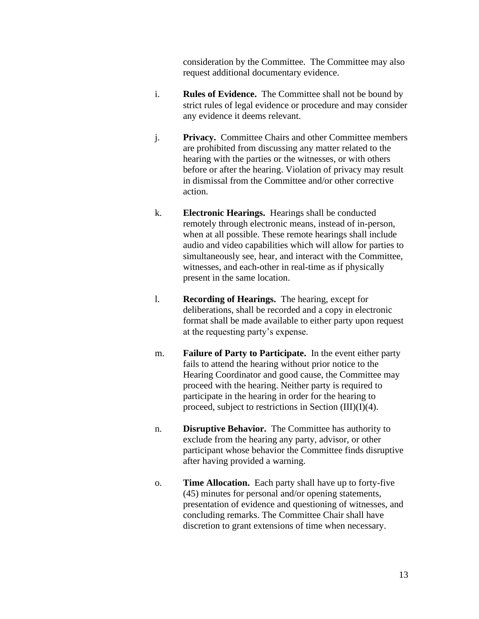consideration by the Committee. The Committee may also request additional documentary evidence.

- i. **Rules of Evidence.** The Committee shall not be bound by strict rules of legal evidence or procedure and may consider any evidence it deems relevant.
- j. **Privacy.** Committee Chairs and other Committee members are prohibited from discussing any matter related to the hearing with the parties or the witnesses, or with others before or after the hearing. Violation of privacy may result in dismissal from the Committee and/or other corrective action.
- k. **Electronic Hearings.** Hearings shall be conducted remotely through electronic means, instead of in-person, when at all possible. These remote hearings shall include audio and video capabilities which will allow for parties to simultaneously see, hear, and interact with the Committee, witnesses, and each-other in real-time as if physically present in the same location.
- l. **Recording of Hearings.** The hearing, except for deliberations, shall be recorded and a copy in electronic format shall be made available to either party upon request at the requesting party's expense.
- m. **Failure of Party to Participate.** In the event either party fails to attend the hearing without prior notice to the Hearing Coordinator and good cause, the Committee may proceed with the hearing. Neither party is required to participate in the hearing in order for the hearing to proceed, subject to restrictions in Section (III)(I)(4).
- n. **Disruptive Behavior.** The Committee has authority to exclude from the hearing any party, advisor, or other participant whose behavior the Committee finds disruptive after having provided a warning.
- o. **Time Allocation.** Each party shall have up to forty-five (45) minutes for personal and/or opening statements, presentation of evidence and questioning of witnesses, and concluding remarks. The Committee Chair shall have discretion to grant extensions of time when necessary.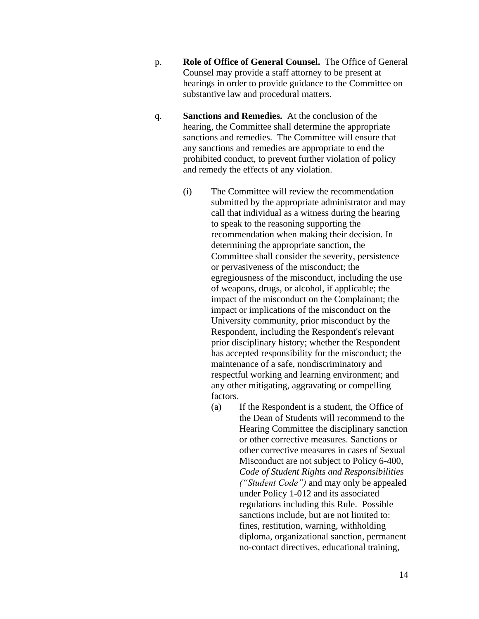- p. **Role of Office of General Counsel.** The Office of General Counsel may provide a staff attorney to be present at hearings in order to provide guidance to the Committee on substantive law and procedural matters.
- q. **Sanctions and Remedies.** At the conclusion of the hearing, the Committee shall determine the appropriate sanctions and remedies. The Committee will ensure that any sanctions and remedies are appropriate to end the prohibited conduct, to prevent further violation of policy and remedy the effects of any violation.
	- (i) The Committee will review the recommendation submitted by the appropriate administrator and may call that individual as a witness during the hearing to speak to the reasoning supporting the recommendation when making their decision. In determining the appropriate sanction, the Committee shall consider the severity, persistence or pervasiveness of the misconduct; the egregiousness of the misconduct, including the use of weapons, drugs, or alcohol, if applicable; the impact of the misconduct on the Complainant; the impact or implications of the misconduct on the University community, prior misconduct by the Respondent, including the Respondent's relevant prior disciplinary history; whether the Respondent has accepted responsibility for the misconduct; the maintenance of a safe, nondiscriminatory and respectful working and learning environment; and any other mitigating, aggravating or compelling factors.
		- (a) If the Respondent is a student, the Office of the Dean of Students will recommend to the Hearing Committee the disciplinary sanction or other corrective measures. Sanctions or other corrective measures in cases of Sexual Misconduct are not subject to Policy 6-400, *Code of Student Rights and Responsibilities ("Student Code")* and may only be appealed under Policy 1-012 and its associated regulations including this Rule. Possible sanctions include, but are not limited to: fines, restitution, warning, withholding diploma, organizational sanction, permanent no-contact directives, educational training,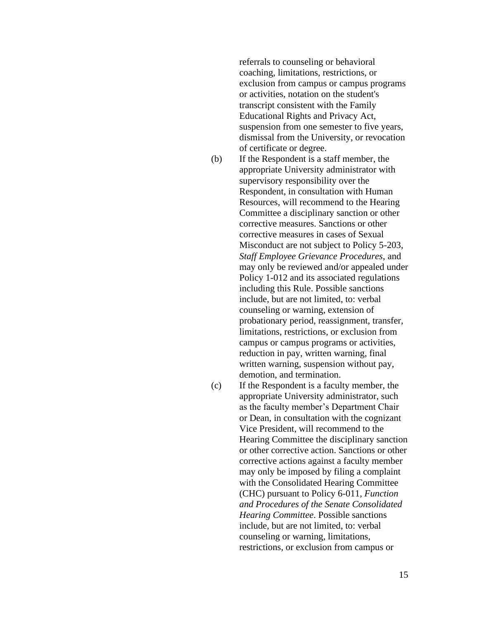referrals to counseling or behavioral coaching, limitations, restrictions, or exclusion from campus or campus programs or activities, notation on the student's transcript consistent with the Family Educational Rights and Privacy Act, suspension from one semester to five years, dismissal from the University, or revocation of certificate or degree.

- (b) If the Respondent is a staff member, the appropriate University administrator with supervisory responsibility over the Respondent, in consultation with Human Resources, will recommend to the Hearing Committee a disciplinary sanction or other corrective measures. Sanctions or other corrective measures in cases of Sexual Misconduct are not subject to Policy 5-203, *Staff Employee Grievance Procedures*, and may only be reviewed and/or appealed under Policy 1-012 and its associated regulations including this Rule. Possible sanctions include, but are not limited, to: verbal counseling or warning, extension of probationary period, reassignment, transfer, limitations, restrictions, or exclusion from campus or campus programs or activities, reduction in pay, written warning, final written warning, suspension without pay, demotion, and termination.
- (c) If the Respondent is a faculty member, the appropriate University administrator, such as the faculty member's Department Chair or Dean, in consultation with the cognizant Vice President, will recommend to the Hearing Committee the disciplinary sanction or other corrective action. Sanctions or other corrective actions against a faculty member may only be imposed by filing a complaint with the Consolidated Hearing Committee (CHC) pursuant to Policy 6-011, *Function and Procedures of the Senate Consolidated Hearing Committee*. Possible sanctions include, but are not limited, to: verbal counseling or warning, limitations, restrictions, or exclusion from campus or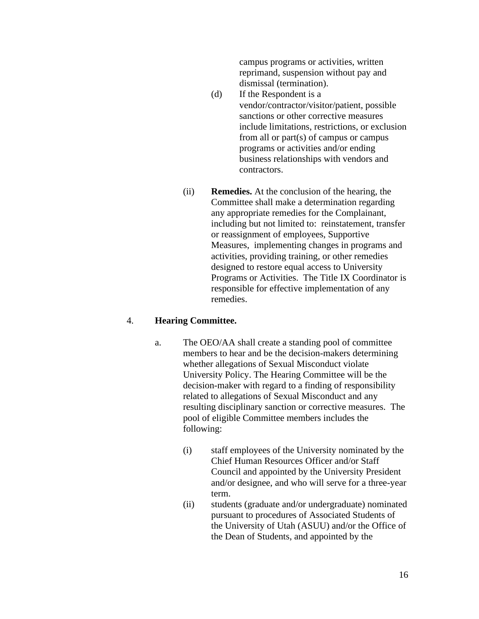campus programs or activities, written reprimand, suspension without pay and dismissal (termination).

- (d) If the Respondent is a vendor/contractor/visitor/patient, possible sanctions or other corrective measures include limitations, restrictions, or exclusion from all or part(s) of campus or campus programs or activities and/or ending business relationships with vendors and contractors.
- (ii) **Remedies.** At the conclusion of the hearing, the Committee shall make a determination regarding any appropriate remedies for the Complainant, including but not limited to: reinstatement, transfer or reassignment of employees, Supportive Measures, implementing changes in programs and activities, providing training, or other remedies designed to restore equal access to University Programs or Activities. The Title IX Coordinator is responsible for effective implementation of any remedies.

#### 4. **Hearing Committee.**

- a. The OEO/AA shall create a standing pool of committee members to hear and be the decision-makers determining whether allegations of Sexual Misconduct violate University Policy. The Hearing Committee will be the decision-maker with regard to a finding of responsibility related to allegations of Sexual Misconduct and any resulting disciplinary sanction or corrective measures. The pool of eligible Committee members includes the following:
	- (i) staff employees of the University nominated by the Chief Human Resources Officer and/or Staff Council and appointed by the University President and/or designee, and who will serve for a three-year term.
	- (ii) students (graduate and/or undergraduate) nominated pursuant to procedures of Associated Students of the University of Utah (ASUU) and/or the Office of the Dean of Students, and appointed by the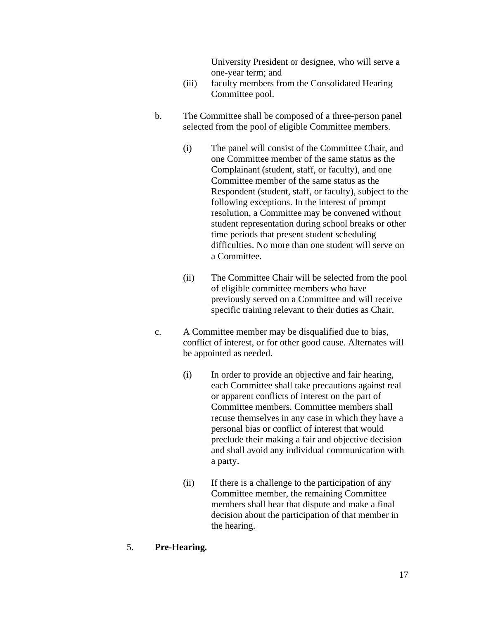University President or designee, who will serve a one-year term; and

- (iii) faculty members from the Consolidated Hearing Committee pool.
- b. The Committee shall be composed of a three-person panel selected from the pool of eligible Committee members.
	- (i) The panel will consist of the Committee Chair, and one Committee member of the same status as the Complainant (student, staff, or faculty), and one Committee member of the same status as the Respondent (student, staff, or faculty), subject to the following exceptions. In the interest of prompt resolution, a Committee may be convened without student representation during school breaks or other time periods that present student scheduling difficulties. No more than one student will serve on a Committee.
	- (ii) The Committee Chair will be selected from the pool of eligible committee members who have previously served on a Committee and will receive specific training relevant to their duties as Chair.
- c. A Committee member may be disqualified due to bias, conflict of interest, or for other good cause. Alternates will be appointed as needed.
	- (i) In order to provide an objective and fair hearing, each Committee shall take precautions against real or apparent conflicts of interest on the part of Committee members. Committee members shall recuse themselves in any case in which they have a personal bias or conflict of interest that would preclude their making a fair and objective decision and shall avoid any individual communication with a party.
	- (ii) If there is a challenge to the participation of any Committee member, the remaining Committee members shall hear that dispute and make a final decision about the participation of that member in the hearing.

### 5. **Pre-Hearing***.*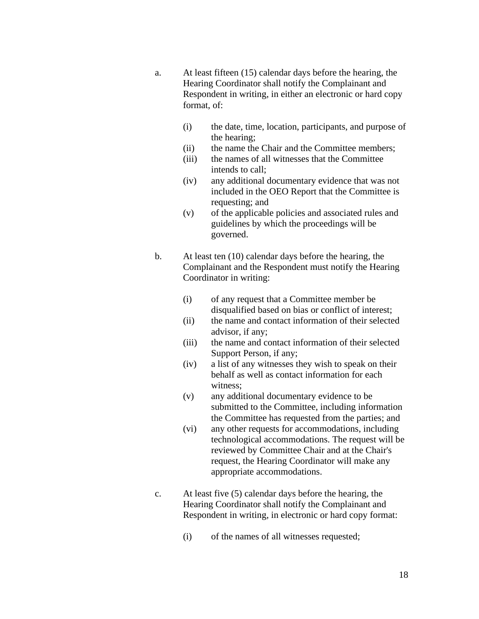- a. At least fifteen (15) calendar days before the hearing, the Hearing Coordinator shall notify the Complainant and Respondent in writing, in either an electronic or hard copy format, of:
	- (i) the date, time, location, participants, and purpose of the hearing;
	- (ii) the name the Chair and the Committee members;
	- (iii) the names of all witnesses that the Committee intends to call;
	- (iv) any additional documentary evidence that was not included in the OEO Report that the Committee is requesting; and
	- (v) of the applicable policies and associated rules and guidelines by which the proceedings will be governed.
- b. At least ten (10) calendar days before the hearing, the Complainant and the Respondent must notify the Hearing Coordinator in writing:
	- (i) of any request that a Committee member be disqualified based on bias or conflict of interest;
	- (ii) the name and contact information of their selected advisor, if any;
	- (iii) the name and contact information of their selected Support Person, if any;
	- (iv) a list of any witnesses they wish to speak on their behalf as well as contact information for each witness;
	- (v) any additional documentary evidence to be submitted to the Committee, including information the Committee has requested from the parties; and
	- (vi) any other requests for accommodations, including technological accommodations. The request will be reviewed by Committee Chair and at the Chair's request, the Hearing Coordinator will make any appropriate accommodations.
- c. At least five (5) calendar days before the hearing, the Hearing Coordinator shall notify the Complainant and Respondent in writing, in electronic or hard copy format:
	- (i) of the names of all witnesses requested;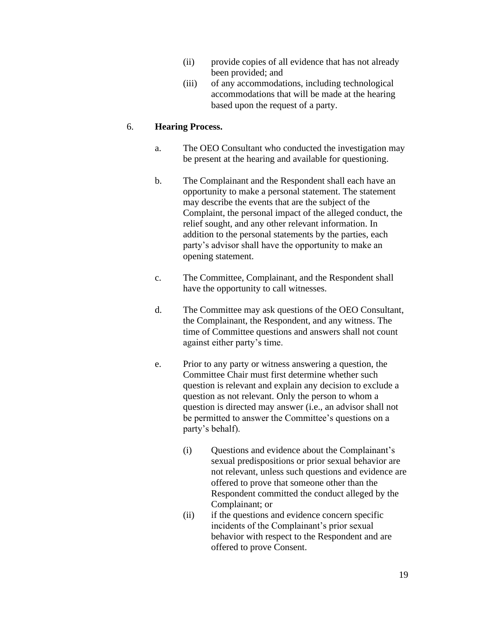- (ii) provide copies of all evidence that has not already been provided; and
- (iii) of any accommodations, including technological accommodations that will be made at the hearing based upon the request of a party.

### 6. **Hearing Process.**

- a. The OEO Consultant who conducted the investigation may be present at the hearing and available for questioning.
- b. The Complainant and the Respondent shall each have an opportunity to make a personal statement. The statement may describe the events that are the subject of the Complaint, the personal impact of the alleged conduct, the relief sought, and any other relevant information. In addition to the personal statements by the parties, each party's advisor shall have the opportunity to make an opening statement.
- c. The Committee, Complainant, and the Respondent shall have the opportunity to call witnesses.
- d. The Committee may ask questions of the OEO Consultant, the Complainant, the Respondent, and any witness. The time of Committee questions and answers shall not count against either party's time.
- e. Prior to any party or witness answering a question, the Committee Chair must first determine whether such question is relevant and explain any decision to exclude a question as not relevant. Only the person to whom a question is directed may answer (i.e., an advisor shall not be permitted to answer the Committee's questions on a party's behalf).
	- (i) Questions and evidence about the Complainant's sexual predispositions or prior sexual behavior are not relevant, unless such questions and evidence are offered to prove that someone other than the Respondent committed the conduct alleged by the Complainant; or
	- (ii) if the questions and evidence concern specific incidents of the Complainant's prior sexual behavior with respect to the Respondent and are offered to prove Consent.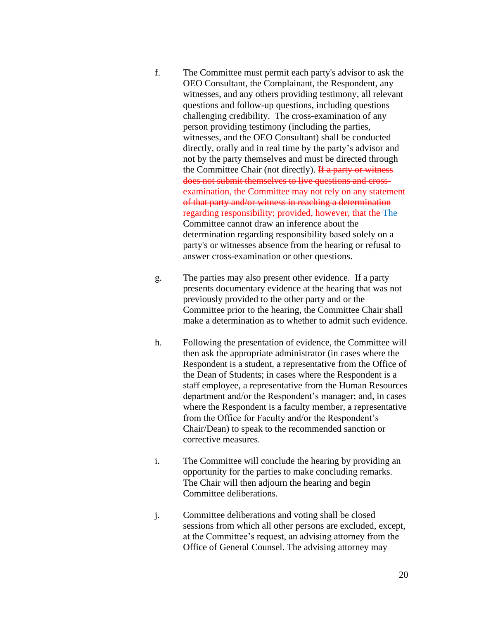- f. The Committee must permit each party's advisor to ask the OEO Consultant, the Complainant, the Respondent, any witnesses, and any others providing testimony, all relevant questions and follow-up questions, including questions challenging credibility. The cross-examination of any person providing testimony (including the parties, witnesses, and the OEO Consultant) shall be conducted directly, orally and in real time by the party's advisor and not by the party themselves and must be directed through the Committee Chair (not directly). If a party or witness does not submit themselves to live questions and crossexamination, the Committee may not rely on any statement of that party and/or witness in reaching a determination regarding responsibility; provided, however, that the The Committee cannot draw an inference about the determination regarding responsibility based solely on a party's or witnesses absence from the hearing or refusal to answer cross-examination or other questions.
- g. The parties may also present other evidence. If a party presents documentary evidence at the hearing that was not previously provided to the other party and or the Committee prior to the hearing, the Committee Chair shall make a determination as to whether to admit such evidence.
- h. Following the presentation of evidence, the Committee will then ask the appropriate administrator (in cases where the Respondent is a student, a representative from the Office of the Dean of Students; in cases where the Respondent is a staff employee, a representative from the Human Resources department and/or the Respondent's manager; and, in cases where the Respondent is a faculty member, a representative from the Office for Faculty and/or the Respondent's Chair/Dean) to speak to the recommended sanction or corrective measures.
- i. The Committee will conclude the hearing by providing an opportunity for the parties to make concluding remarks. The Chair will then adjourn the hearing and begin Committee deliberations.
- j. Committee deliberations and voting shall be closed sessions from which all other persons are excluded, except, at the Committee's request, an advising attorney from the Office of General Counsel. The advising attorney may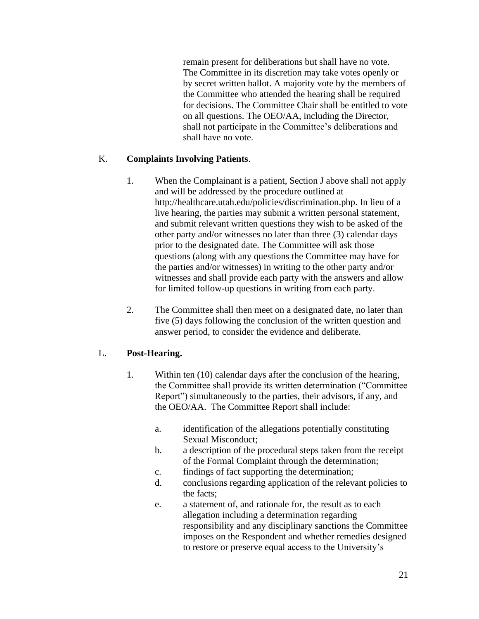remain present for deliberations but shall have no vote. The Committee in its discretion may take votes openly or by secret written ballot. A majority vote by the members of the Committee who attended the hearing shall be required for decisions. The Committee Chair shall be entitled to vote on all questions. The OEO/AA, including the Director, shall not participate in the Committee's deliberations and shall have no vote.

## K. **Complaints Involving Patients**.

- 1. When the Complainant is a patient, Section J above shall not apply and will be addressed by the procedure outlined at http://healthcare.utah.edu/policies/discrimination.php. In lieu of a live hearing, the parties may submit a written personal statement, and submit relevant written questions they wish to be asked of the other party and/or witnesses no later than three (3) calendar days prior to the designated date. The Committee will ask those questions (along with any questions the Committee may have for the parties and/or witnesses) in writing to the other party and/or witnesses and shall provide each party with the answers and allow for limited follow-up questions in writing from each party.
- 2. The Committee shall then meet on a designated date, no later than five (5) days following the conclusion of the written question and answer period, to consider the evidence and deliberate.

## L. **Post-Hearing.**

- 1. Within ten (10) calendar days after the conclusion of the hearing, the Committee shall provide its written determination ("Committee Report") simultaneously to the parties, their advisors, if any, and the OEO/AA. The Committee Report shall include:
	- a. identification of the allegations potentially constituting Sexual Misconduct;
	- b. a description of the procedural steps taken from the receipt of the Formal Complaint through the determination;
	- c. findings of fact supporting the determination;
	- d. conclusions regarding application of the relevant policies to the facts;
	- e. a statement of, and rationale for, the result as to each allegation including a determination regarding responsibility and any disciplinary sanctions the Committee imposes on the Respondent and whether remedies designed to restore or preserve equal access to the University's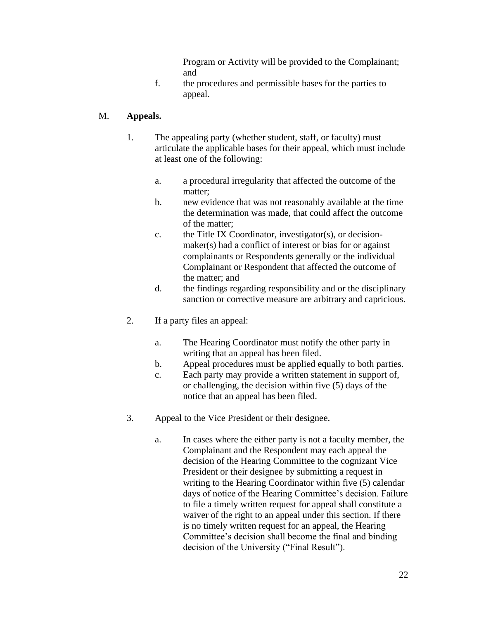Program or Activity will be provided to the Complainant; and

f. the procedures and permissible bases for the parties to appeal.

## M. **Appeals.**

- 1. The appealing party (whether student, staff, or faculty) must articulate the applicable bases for their appeal, which must include at least one of the following:
	- a. a procedural irregularity that affected the outcome of the matter;
	- b. new evidence that was not reasonably available at the time the determination was made, that could affect the outcome of the matter;
	- c. the Title IX Coordinator, investigator(s), or decisionmaker(s) had a conflict of interest or bias for or against complainants or Respondents generally or the individual Complainant or Respondent that affected the outcome of the matter; and
	- d. the findings regarding responsibility and or the disciplinary sanction or corrective measure are arbitrary and capricious.
- 2. If a party files an appeal:
	- a. The Hearing Coordinator must notify the other party in writing that an appeal has been filed.
	- b. Appeal procedures must be applied equally to both parties.
	- c. Each party may provide a written statement in support of, or challenging, the decision within five (5) days of the notice that an appeal has been filed.
- 3. Appeal to the Vice President or their designee.
	- a. In cases where the either party is not a faculty member, the Complainant and the Respondent may each appeal the decision of the Hearing Committee to the cognizant Vice President or their designee by submitting a request in writing to the Hearing Coordinator within five (5) calendar days of notice of the Hearing Committee's decision. Failure to file a timely written request for appeal shall constitute a waiver of the right to an appeal under this section. If there is no timely written request for an appeal, the Hearing Committee's decision shall become the final and binding decision of the University ("Final Result").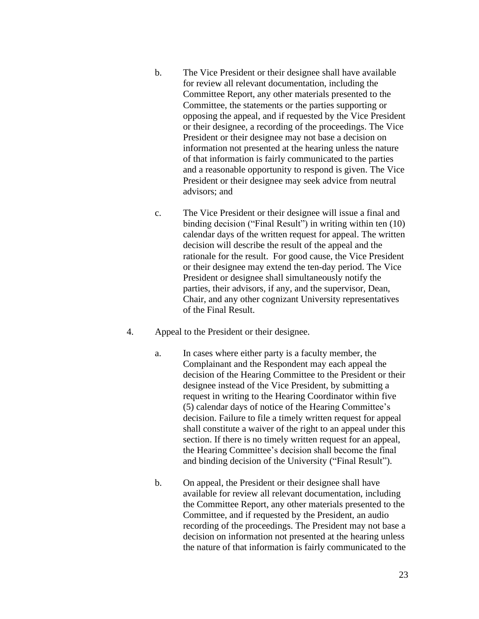- b. The Vice President or their designee shall have available for review all relevant documentation, including the Committee Report, any other materials presented to the Committee, the statements or the parties supporting or opposing the appeal, and if requested by the Vice President or their designee, a recording of the proceedings. The Vice President or their designee may not base a decision on information not presented at the hearing unless the nature of that information is fairly communicated to the parties and a reasonable opportunity to respond is given. The Vice President or their designee may seek advice from neutral advisors; and
- c. The Vice President or their designee will issue a final and binding decision ("Final Result") in writing within ten (10) calendar days of the written request for appeal. The written decision will describe the result of the appeal and the rationale for the result. For good cause, the Vice President or their designee may extend the ten-day period. The Vice President or designee shall simultaneously notify the parties, their advisors, if any, and the supervisor, Dean, Chair, and any other cognizant University representatives of the Final Result.
- 4. Appeal to the President or their designee.
	- a. In cases where either party is a faculty member, the Complainant and the Respondent may each appeal the decision of the Hearing Committee to the President or their designee instead of the Vice President, by submitting a request in writing to the Hearing Coordinator within five (5) calendar days of notice of the Hearing Committee's decision. Failure to file a timely written request for appeal shall constitute a waiver of the right to an appeal under this section. If there is no timely written request for an appeal. the Hearing Committee's decision shall become the final and binding decision of the University ("Final Result").
	- b. On appeal, the President or their designee shall have available for review all relevant documentation, including the Committee Report, any other materials presented to the Committee, and if requested by the President, an audio recording of the proceedings. The President may not base a decision on information not presented at the hearing unless the nature of that information is fairly communicated to the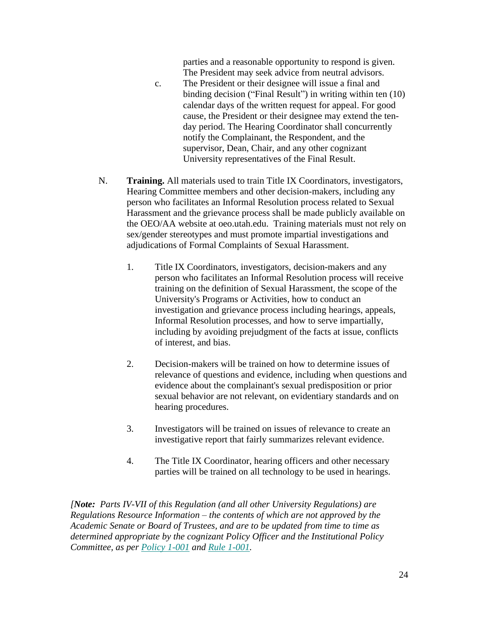parties and a reasonable opportunity to respond is given. The President may seek advice from neutral advisors.

- c. The President or their designee will issue a final and binding decision ("Final Result") in writing within ten (10) calendar days of the written request for appeal. For good cause, the President or their designee may extend the tenday period. The Hearing Coordinator shall concurrently notify the Complainant, the Respondent, and the supervisor, Dean, Chair, and any other cognizant University representatives of the Final Result.
- N. **Training.** All materials used to train Title IX Coordinators, investigators, Hearing Committee members and other decision-makers, including any person who facilitates an Informal Resolution process related to Sexual Harassment and the grievance process shall be made publicly available on the OEO/AA website at oeo.utah.edu. Training materials must not rely on sex/gender stereotypes and must promote impartial investigations and adjudications of Formal Complaints of Sexual Harassment.
	- 1. Title IX Coordinators, investigators, decision-makers and any person who facilitates an Informal Resolution process will receive training on the definition of Sexual Harassment, the scope of the University's Programs or Activities, how to conduct an investigation and grievance process including hearings, appeals, Informal Resolution processes, and how to serve impartially, including by avoiding prejudgment of the facts at issue, conflicts of interest, and bias.
	- 2. Decision-makers will be trained on how to determine issues of relevance of questions and evidence, including when questions and evidence about the complainant's sexual predisposition or prior sexual behavior are not relevant, on evidentiary standards and on hearing procedures.
	- 3. Investigators will be trained on issues of relevance to create an investigative report that fairly summarizes relevant evidence.
	- 4. The Title IX Coordinator, hearing officers and other necessary parties will be trained on all technology to be used in hearings.

*[Note: Parts IV-VII of this Regulation (and all other University Regulations) are Regulations Resource Information – the contents of which are not approved by the Academic Senate or Board of Trustees, and are to be updated from time to time as determined appropriate by the cognizant Policy Officer and the Institutional Policy Committee, as per Policy 1-001 and Rule 1-001.*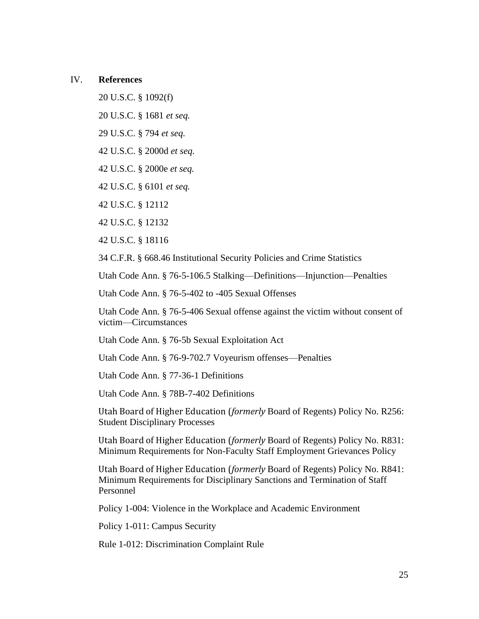### IV. **References**

20 U.S.C. § 1092(f)

20 U.S.C. § 1681 *et seq.*

29 U.S.C. § 794 *et seq.*

42 U.S.C. § 2000d *et seq.*

42 U.S.C. § 2000e *et seq.*

42 U.S.C. § 6101 *et seq.*

42 U.S.C. § 12112

42 U.S.C. § 12132

42 U.S.C. § 18116

34 C.F.R. § 668.46 Institutional Security Policies and Crime Statistics

Utah Code Ann. § 76-5-106.5 Stalking—Definitions—Injunction—Penalties

Utah Code Ann. § 76-5-402 to -405 Sexual Offenses

Utah Code Ann. § 76-5-406 Sexual offense against the victim without consent of victim—Circumstances

Utah Code Ann. § 76-5b Sexual Exploitation Act

Utah Code Ann. § 76-9-702.7 Voyeurism offenses—Penalties

Utah Code Ann. § 77-36-1 Definitions

Utah Code Ann. § 78B-7-402 Definitions

Utah Board of Higher Education (*formerly* Board of Regents) Policy No. R256: Student Disciplinary Processes

Utah Board of Higher Education (*formerly* Board of Regents) [Policy No. R831:](http://higheredutah.org/sbr/policy/pdf/R831.pdf) Minimum Requirements for Non-Faculty Staff Employment Grievances Policy

Utah Board of Higher Education (*formerly* Board of Regents) Policy No. R841: Minimum Requirements for Disciplinary Sanctions and Termination of Staff Personnel

Policy 1-004: Violence in the Workplace and Academic Environment

Policy 1-011: Campus Security

Rule 1-012: Discrimination Complaint Rule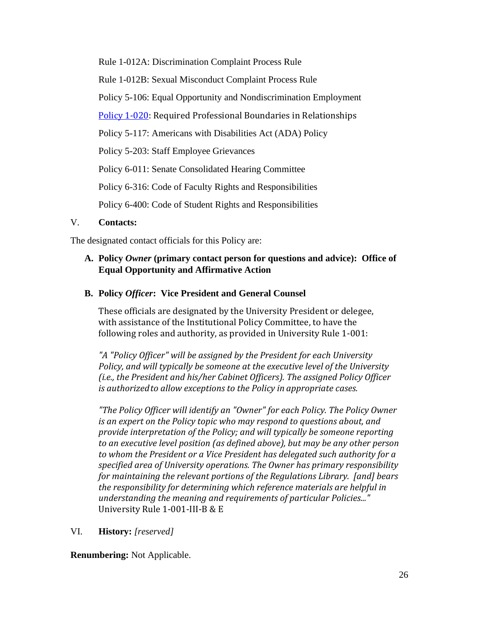Rule 1-012A: Discrimination Complaint Process Rule Rule 1-012B: Sexual Misconduct Complaint Process Rule [Policy 5-106:](http://regulations.utah.edu/human-resources/5-106.php) Equal Opportunity and Nondiscrimination Employment [Policy 1-020:](https://regulations.utah.edu/general/1-020.php) Required Professional Boundaries in Relationships [Policy 5-117:](http://regulations.utah.edu/human-resources/5-117.php) Americans with Disabilities Act (ADA) Policy Policy 5-203: Staff Employee Grievances Policy 6-011: Senate Consolidated Hearing Committee [Policy 6-316:](http://regulations.utah.edu/academics/6-316.php) Code of Faculty Rights and Responsibilities [Policy 6-400:](http://regulations.utah.edu/academics/6-400.php) Code of Student Rights and Responsibilities

### V. **Contacts:**

The designated contact officials for this Policy are:

## **A. Policy** *Owner* **(primary contact person for questions and advice): Office of Equal Opportunity and Affirmative Action**

### **B. Policy** *Officer***: Vice President and General Counsel**

These officials are designated by the University President or delegee, with assistance of the Institutional Policy Committee, to have the following roles and authority, as provided in University Rule 1-001:

*"A "Policy Officer" will be assigned by the President for each University Policy, and will typically be someone at the executive level of the University (i.e., the President and his/her Cabinet Officers). The assigned Policy Officer is authorizedto allow exceptions to the Policy in appropriate cases.*

*"The Policy Officer will identify an "Owner" for each Policy. The Policy Owner is an expert on the Policy topic who may respond to questions about, and provide interpretation of the Policy; and will typically be someone reporting to an executive level position (as defined above), but may be any other person to whom the President or a Vice President has delegated such authority for a specified area of University operations. The Owner has primary responsibility for maintaining the relevant portions of the Regulations Library. [and] bears the responsibility for determining which reference materials are helpful in understanding the meaning and requirements of particular Policies..."*  University Rule 1-001-III-B & E

### VI. **History:** *[reserved]*

**Renumbering:** Not Applicable.